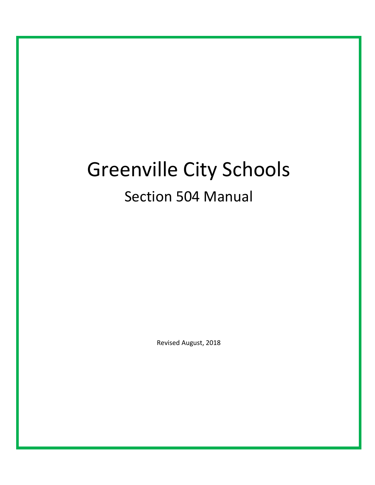# Greenville City Schools

# Section 504 Manual

Revised August, 2018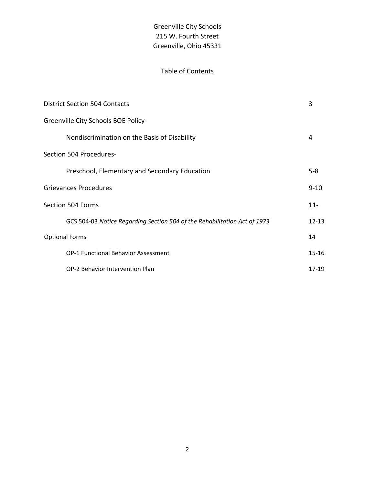# Table of Contents

| <b>District Section 504 Contacts</b>                                      | 3         |
|---------------------------------------------------------------------------|-----------|
| Greenville City Schools BOE Policy-                                       |           |
| Nondiscrimination on the Basis of Disability                              | 4         |
| Section 504 Procedures-                                                   |           |
| Preschool, Elementary and Secondary Education                             | $5 - 8$   |
| <b>Grievances Procedures</b>                                              | $9 - 10$  |
| Section 504 Forms                                                         | $11 -$    |
| GCS 504-03 Notice Regarding Section 504 of the Rehabilitation Act of 1973 | $12 - 13$ |
| <b>Optional Forms</b>                                                     | 14        |
| OP-1 Functional Behavior Assessment                                       | $15 - 16$ |
| OP-2 Behavior Intervention Plan                                           | $17-19$   |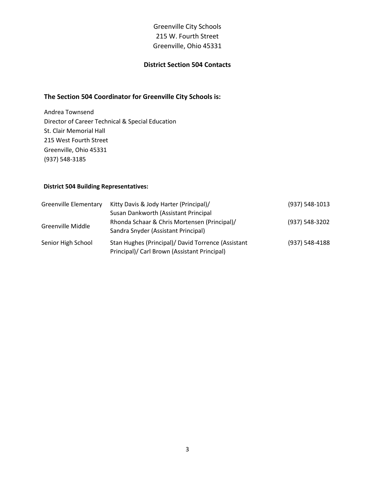#### **District Section 504 Contacts**

#### **The Section 504 Coordinator for Greenville City Schools is:**

Andrea Townsend Director of Career Technical & Special Education St. Clair Memorial Hall 215 West Fourth Street Greenville, Ohio 45331 (937) 548-3185

#### **District 504 Building Representatives:**

| <b>Greenville Elementary</b> | Kitty Davis & Jody Harter (Principal)/<br>Susan Dankworth (Assistant Principal                     | (937) 548-1013 |
|------------------------------|----------------------------------------------------------------------------------------------------|----------------|
| <b>Greenville Middle</b>     | Rhonda Schaar & Chris Mortensen (Principal)/<br>Sandra Snyder (Assistant Principal)                | (937) 548-3202 |
| Senior High School           | Stan Hughes (Principal)/ David Torrence (Assistant<br>Principal)/ Carl Brown (Assistant Principal) | (937) 548-4188 |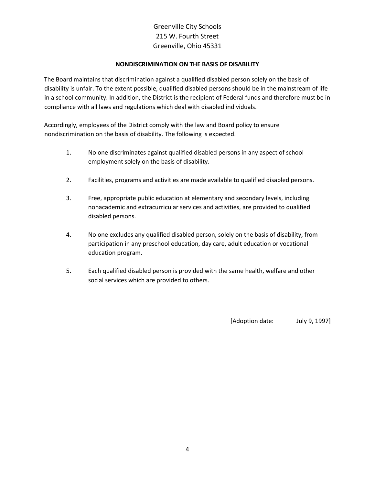#### **NONDISCRIMINATION ON THE BASIS OF DISABILITY**

The Board maintains that discrimination against a qualified disabled person solely on the basis of disability is unfair. To the extent possible, qualified disabled persons should be in the mainstream of life in a school community. In addition, the District is the recipient of Federal funds and therefore must be in compliance with all laws and regulations which deal with disabled individuals.

Accordingly, employees of the District comply with the law and Board policy to ensure nondiscrimination on the basis of disability. The following is expected.

- 1. No one discriminates against qualified disabled persons in any aspect of school employment solely on the basis of disability.
- 2. Facilities, programs and activities are made available to qualified disabled persons.
- 3. Free, appropriate public education at elementary and secondary levels, including nonacademic and extracurricular services and activities, are provided to qualified disabled persons.
- 4. No one excludes any qualified disabled person, solely on the basis of disability, from participation in any preschool education, day care, adult education or vocational education program.
- 5. Each qualified disabled person is provided with the same health, welfare and other social services which are provided to others.

[Adoption date: July 9, 1997]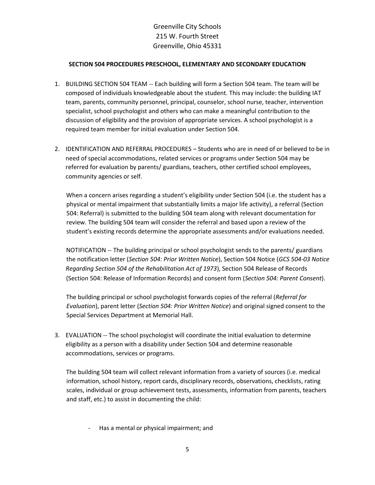#### **SECTION 504 PROCEDURES PRESCHOOL, ELEMENTARY AND SECONDARY EDUCATION**

- 1. BUILDING SECTION 504 TEAM -- Each building will form a Section 504 team. The team will be composed of individuals knowledgeable about the student. This may include: the building IAT team, parents, community personnel, principal, counselor, school nurse, teacher, intervention specialist, school psychologist and others who can make a meaningful contribution to the discussion of eligibility and the provision of appropriate services. A school psychologist is a required team member for initial evaluation under Section 504.
- 2. IDENTIFICATION AND REFERRAL PROCEDURES Students who are in need of or believed to be in need of special accommodations, related services or programs under Section 504 may be referred for evaluation by parents/ guardians, teachers, other certified school employees, community agencies or self.

When a concern arises regarding a student's eligibility under Section 504 (i.e. the student has a physical or mental impairment that substantially limits a major life activity), a referral (Section 504: Referral) is submitted to the building 504 team along with relevant documentation for review. The building 504 team will consider the referral and based upon a review of the student's existing records determine the appropriate assessments and/or evaluations needed.

NOTIFICATION -- The building principal or school psychologist sends to the parents/ guardians the notification letter (*Section 504: Prior Written Notice*), Section 504 Notice (*GCS 504-03 Notice Regarding Section 504 of the Rehabilitation Act of 1973*), Section 504 Release of Records (Section 504: Release of Information Records) and consent form (*Section 504: Parent Consent*).

The building principal or school psychologist forwards copies of the referral (*Referral for Evaluation*), parent letter (*Section 504: Prior Written Notice*) and original signed consent to the Special Services Department at Memorial Hall.

3. EVALUATION -- The school psychologist will coordinate the initial evaluation to determine eligibility as a person with a disability under Section 504 and determine reasonable accommodations, services or programs.

The building 504 team will collect relevant information from a variety of sources (i.e. medical information, school history, report cards, disciplinary records, observations, checklists, rating scales, individual or group achievement tests, assessments, information from parents, teachers and staff, etc.) to assist in documenting the child:

- Has a mental or physical impairment; and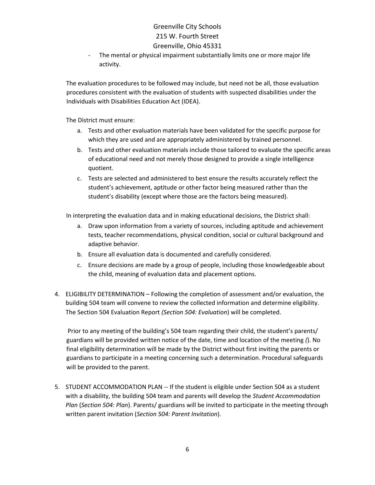- The mental or physical impairment substantially limits one or more major life activity.

The evaluation procedures to be followed may include, but need not be all, those evaluation procedures consistent with the evaluation of students with suspected disabilities under the Individuals with Disabilities Education Act (IDEA).

The District must ensure:

- a. Tests and other evaluation materials have been validated for the specific purpose for which they are used and are appropriately administered by trained personnel.
- b. Tests and other evaluation materials include those tailored to evaluate the specific areas of educational need and not merely those designed to provide a single intelligence quotient.
- c. Tests are selected and administered to best ensure the results accurately reflect the student's achievement, aptitude or other factor being measured rather than the student's disability (except where those are the factors being measured).

In interpreting the evaluation data and in making educational decisions, the District shall:

- a. Draw upon information from a variety of sources, including aptitude and achievement tests, teacher recommendations, physical condition, social or cultural background and adaptive behavior.
- b. Ensure all evaluation data is documented and carefully considered.
- c. Ensure decisions are made by a group of people, including those knowledgeable about the child, meaning of evaluation data and placement options.
- 4. ELIGIBILITY DETERMINATION Following the completion of assessment and/or evaluation, the building 504 team will convene to review the collected information and determine eligibility. The Section 504 Evaluation Report *(Section 504: Evaluation*) will be completed.

Prior to any meeting of the building's 504 team regarding their child, the student's parents/ guardians will be provided written notice of the date, time and location of the meeting *(*). No final eligibility determination will be made by the District without first inviting the parents or guardians to participate in a meeting concerning such a determination. Procedural safeguards will be provided to the parent.

5. STUDENT ACCOMMODATION PLAN -- If the student is eligible under Section 504 as a student with a disability, the building 504 team and parents will develop the *Student Accommodation Plan* (*Section 504: Plan*). Parents/ guardians will be invited to participate in the meeting through written parent invitation (*Section 504: Parent Invitation*).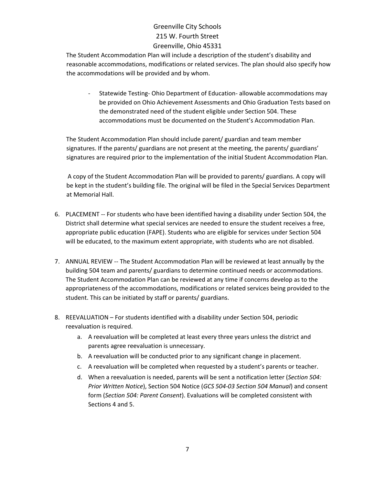The Student Accommodation Plan will include a description of the student's disability and reasonable accommodations, modifications or related services. The plan should also specify how the accommodations will be provided and by whom.

- Statewide Testing- Ohio Department of Education- allowable accommodations may be provided on Ohio Achievement Assessments and Ohio Graduation Tests based on the demonstrated need of the student eligible under Section 504. These accommodations must be documented on the Student's Accommodation Plan.

The Student Accommodation Plan should include parent/ guardian and team member signatures. If the parents/ guardians are not present at the meeting, the parents/ guardians' signatures are required prior to the implementation of the initial Student Accommodation Plan.

A copy of the Student Accommodation Plan will be provided to parents/ guardians. A copy will be kept in the student's building file. The original will be filed in the Special Services Department at Memorial Hall.

- 6. PLACEMENT -- For students who have been identified having a disability under Section 504, the District shall determine what special services are needed to ensure the student receives a free, appropriate public education (FAPE). Students who are eligible for services under Section 504 will be educated, to the maximum extent appropriate, with students who are not disabled.
- 7. ANNUAL REVIEW -- The Student Accommodation Plan will be reviewed at least annually by the building 504 team and parents/ guardians to determine continued needs or accommodations. The Student Accommodation Plan can be reviewed at any time if concerns develop as to the appropriateness of the accommodations, modifications or related services being provided to the student. This can be initiated by staff or parents/ guardians.
- 8. REEVALUATION For students identified with a disability under Section 504, periodic reevaluation is required.
	- a. A reevaluation will be completed at least every three years unless the district and parents agree reevaluation is unnecessary.
	- b. A reevaluation will be conducted prior to any significant change in placement.
	- c. A reevaluation will be completed when requested by a student's parents or teacher.
	- d. When a reevaluation is needed, parents will be sent a notification letter (*Section 504: Prior Written Notice*), Section 504 Notice (*GCS 504-03 Section 504 Manual*) and consent form (*Section 504: Parent Consent*). Evaluations will be completed consistent with Sections 4 and 5.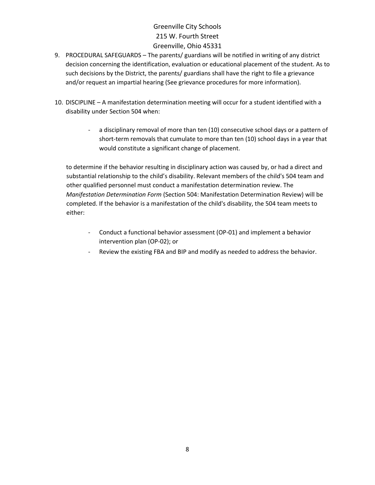- 9. PROCEDURAL SAFEGUARDS The parents/ guardians will be notified in writing of any district decision concerning the identification, evaluation or educational placement of the student. As to such decisions by the District, the parents/ guardians shall have the right to file a grievance and/or request an impartial hearing (See grievance procedures for more information).
- 10. DISCIPLINE A manifestation determination meeting will occur for a student identified with a disability under Section 504 when:
	- a disciplinary removal of more than ten (10) consecutive school days or a pattern of short-term removals that cumulate to more than ten (10) school days in a year that would constitute a significant change of placement.

to determine if the behavior resulting in disciplinary action was caused by, or had a direct and substantial relationship to the child's disability. Relevant members of the child's 504 team and other qualified personnel must conduct a manifestation determination review. The *Manifestation Determination Form* (Section 504: Manifestation Determination Review) will be completed. If the behavior is a manifestation of the child's disability, the 504 team meets to either:

- Conduct a functional behavior assessment (OP-01) and implement a behavior intervention plan (OP-02); or
- Review the existing FBA and BIP and modify as needed to address the behavior.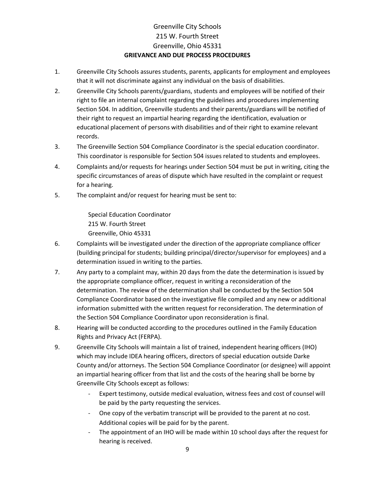# Greenville City Schools 215 W. Fourth Street Greenville, Ohio 45331 **GRIEVANCE AND DUE PROCESS PROCEDURES**

- 1. Greenville City Schools assures students, parents, applicants for employment and employees that it will not discriminate against any individual on the basis of disabilities.
- 2. Greenville City Schools parents/guardians, students and employees will be notified of their right to file an internal complaint regarding the guidelines and procedures implementing Section 504. In addition, Greenville students and their parents/guardians will be notified of their right to request an impartial hearing regarding the identification, evaluation or educational placement of persons with disabilities and of their right to examine relevant records.
- 3. The Greenville Section 504 Compliance Coordinator is the special education coordinator. This coordinator is responsible for Section 504 issues related to students and employees.
- 4. Complaints and/or requests for hearings under Section 504 must be put in writing, citing the specific circumstances of areas of dispute which have resulted in the complaint or request for a hearing.
- 5. The complaint and/or request for hearing must be sent to:

Special Education Coordinator 215 W. Fourth Street Greenville, Ohio 45331

- 6. Complaints will be investigated under the direction of the appropriate compliance officer (building principal for students; building principal/director/supervisor for employees) and a determination issued in writing to the parties.
- 7. Any party to a complaint may, within 20 days from the date the determination is issued by the appropriate compliance officer, request in writing a reconsideration of the determination. The review of the determination shall be conducted by the Section 504 Compliance Coordinator based on the investigative file compiled and any new or additional information submitted with the written request for reconsideration. The determination of the Section 504 Compliance Coordinator upon reconsideration is final.
- 8. Hearing will be conducted according to the procedures outlined in the Family Education Rights and Privacy Act (FERPA).
- 9. Greenville City Schools will maintain a list of trained, independent hearing officers (IHO) which may include IDEA hearing officers, directors of special education outside Darke County and/or attorneys. The Section 504 Compliance Coordinator (or designee) will appoint an impartial hearing officer from that list and the costs of the hearing shall be borne by Greenville City Schools except as follows:
	- Expert testimony, outside medical evaluation, witness fees and cost of counsel will be paid by the party requesting the services.
	- One copy of the verbatim transcript will be provided to the parent at no cost. Additional copies will be paid for by the parent.
	- The appointment of an IHO will be made within 10 school days after the request for hearing is received.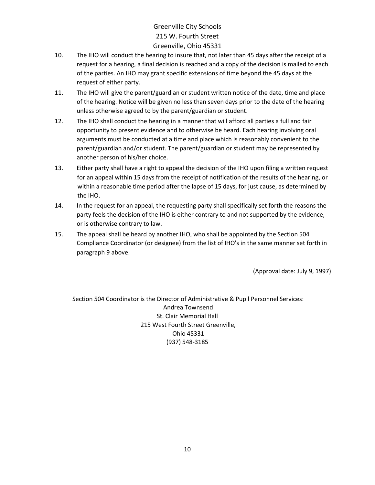- 10. The IHO will conduct the hearing to insure that, not later than 45 days after the receipt of a request for a hearing, a final decision is reached and a copy of the decision is mailed to each of the parties. An IHO may grant specific extensions of time beyond the 45 days at the request of either party.
- 11. The IHO will give the parent/guardian or student written notice of the date, time and place of the hearing. Notice will be given no less than seven days prior to the date of the hearing unless otherwise agreed to by the parent/guardian or student.
- 12. The IHO shall conduct the hearing in a manner that will afford all parties a full and fair opportunity to present evidence and to otherwise be heard. Each hearing involving oral arguments must be conducted at a time and place which is reasonably convenient to the parent/guardian and/or student. The parent/guardian or student may be represented by another person of his/her choice.
- 13. Either party shall have a right to appeal the decision of the IHO upon filing a written request for an appeal within 15 days from the receipt of notification of the results of the hearing, or within a reasonable time period after the lapse of 15 days, for just cause, as determined by the IHO.
- 14. In the request for an appeal, the requesting party shall specifically set forth the reasons the party feels the decision of the IHO is either contrary to and not supported by the evidence, or is otherwise contrary to law.
- 15. The appeal shall be heard by another IHO, who shall be appointed by the Section 504 Compliance Coordinator (or designee) from the list of IHO's in the same manner set forth in paragraph 9 above.

(Approval date: July 9, 1997)

Section 504 Coordinator is the Director of Administrative & Pupil Personnel Services: Andrea Townsend St. Clair Memorial Hall 215 West Fourth Street Greenville, Ohio 45331 (937) 548-3185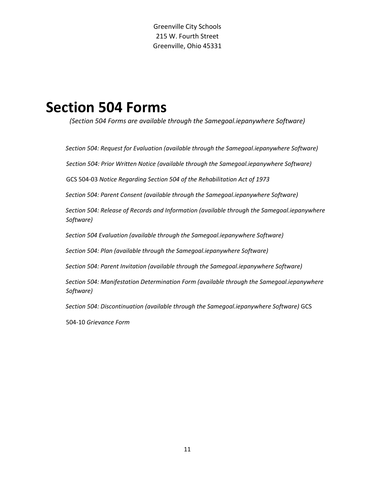# **Section 504 Forms**

*(Section 504 Forms are available through the Samegoal.iepanywhere Software)* 

*Section 504: Request for Evaluation (available through the Samegoal.iepanywhere Software)* 

*Section 504: Prior Written Notice (available through the Samegoal.iepanywhere Software)* 

GCS 504-03 *Notice Regarding Section 504 of the Rehabilitation Act of 1973*

*Section 504: Parent Consent (available through the Samegoal.iepanywhere Software)* 

*Section 504: Release of Records and Information (available through the Samegoal.iepanywhere Software)* 

*Section 504 Evaluation (available through the Samegoal.iepanywhere Software)*

*Section 504: Plan (available through the Samegoal.iepanywhere Software)* 

*Section 504: Parent Invitation (available through the Samegoal.iepanywhere Software)* 

*Section 504: Manifestation Determination Form (available through the Samegoal.iepanywhere Software)* 

*Section 504: Discontinuation (available through the Samegoal.iepanywhere Software)* GCS

504-10 *Grievance Form*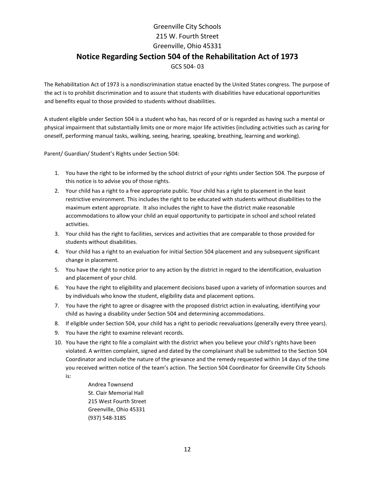# Greenville City Schools 215 W. Fourth Street Greenville, Ohio 45331 **Notice Regarding Section 504 of the Rehabilitation Act of 1973**  GCS 504- 03

The Rehabilitation Act of 1973 is a nondiscrimination statue enacted by the United States congress. The purpose of the act is to prohibit discrimination and to assure that students with disabilities have educational opportunities and benefits equal to those provided to students without disabilities.

A student eligible under Section 504 is a student who has, has record of or is regarded as having such a mental or physical impairment that substantially limits one or more major life activities (including activities such as caring for oneself, performing manual tasks, walking, seeing, hearing, speaking, breathing, learning and working).

Parent/ Guardian/ Student's Rights under Section 504:

- 1. You have the right to be informed by the school district of your rights under Section 504. The purpose of this notice is to advise you of those rights.
- 2. Your child has a right to a free appropriate public. Your child has a right to placement in the least restrictive environment. This includes the right to be educated with students without disabilities to the maximum extent appropriate. It also includes the right to have the district make reasonable accommodations to allow your child an equal opportunity to participate in school and school related activities.
- 3. Your child has the right to facilities, services and activities that are comparable to those provided for students without disabilities.
- 4. Your child has a right to an evaluation for initial Section 504 placement and any subsequent significant change in placement.
- 5. You have the right to notice prior to any action by the district in regard to the identification, evaluation and placement of your child.
- 6. You have the right to eligibility and placement decisions based upon a variety of information sources and by individuals who know the student, eligibility data and placement options.
- 7. You have the right to agree or disagree with the proposed district action in evaluating, identifying your child as having a disability under Section 504 and determining accommodations.
- 8. If eligible under Section 504, your child has a right to periodic reevaluations (generally every three years).
- 9. You have the right to examine relevant records.
- 10. You have the right to file a complaint with the district when you believe your child's rights have been violated. A written complaint, signed and dated by the complainant shall be submitted to the Section 504 Coordinator and include the nature of the grievance and the remedy requested within 14 days of the time you received written notice of the team's action. The Section 504 Coordinator for Greenville City Schools is:

Andrea Townsend St. Clair Memorial Hall 215 West Fourth Street Greenville, Ohio 45331 (937) 548-3185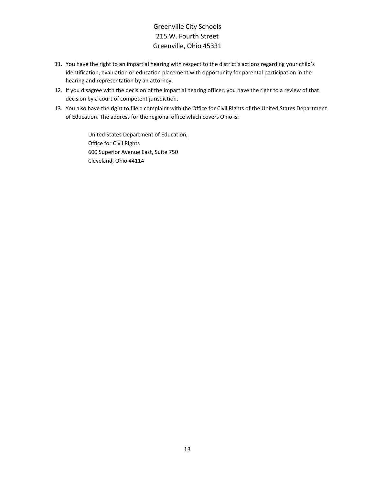- 11. You have the right to an impartial hearing with respect to the district's actions regarding your child's identification, evaluation or education placement with opportunity for parental participation in the hearing and representation by an attorney.
- 12. If you disagree with the decision of the impartial hearing officer, you have the right to a review of that decision by a court of competent jurisdiction.
- 13. You also have the right to file a complaint with the Office for Civil Rights of the United States Department of Education. The address for the regional office which covers Ohio is:

United States Department of Education, Office for Civil Rights 600 Superior Avenue East, Suite 750 Cleveland, Ohio 44114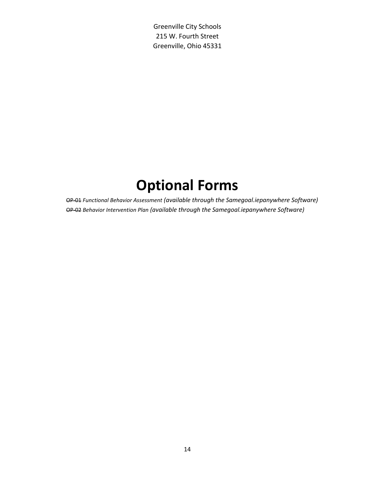# **Optional Forms**

OP-01 *Functional Behavior Assessment (available through the Samegoal.iepanywhere Software)* OP-02 *Behavior Intervention Plan (available through the Samegoal.iepanywhere Software)*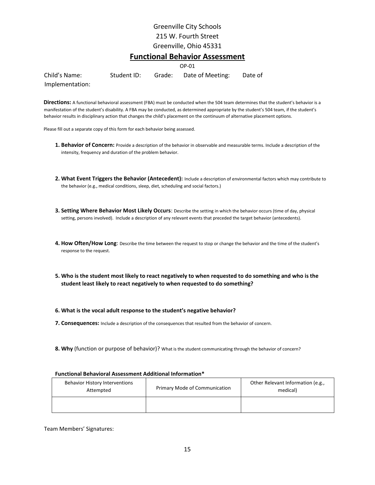#### **Functional Behavior Assessment**

OP-01 Child's Name: Student ID: Grade: Date of Meeting: Date of Implementation:

**Directions:** A functional behavioral assessment (FBA) must be conducted when the 504 team determines that the student's behavior is a manifestation of the student's disability. A FBA may be conducted, as determined appropriate by the student's 504 team, if the student's behavior results in disciplinary action that changes the child's placement on the continuum of alternative placement options.

Please fill out a separate copy of this form for each behavior being assessed.

- **1. Behavior of Concern:** Provide a description of the behavior in observable and measurable terms. Include a description of the intensity, frequency and duration of the problem behavior.
- **2. What Event Triggers the Behavior (Antecedent):** Include a description of environmental factors which may contribute to the behavior (e.g., medical conditions, sleep, diet, scheduling and social factors.)
- **3. Setting Where Behavior Most Likely Occurs**: Describe the setting in which the behavior occurs (time of day, physical setting, persons involved). Include a description of any relevant events that preceded the target behavior (antecedents).
- **4. How Often/How Long**: Describe the time between the request to stop or change the behavior and the time of the student's response to the request.
- **5. Who is the student most likely to react negatively to when requested to do something and who is the student least likely to react negatively to when requested to do something?**
- **6. What is the vocal adult response to the student's negative behavior?**
- **7. Consequences:** Include a description of the consequences that resulted from the behavior of concern.
- **8. Why** (function or purpose of behavior)? What is the student communicating through the behavior of concern?

| <b>Behavior History Interventions</b><br>Attempted | Primary Mode of Communication | Other Relevant Information (e.g.,<br>medical) |
|----------------------------------------------------|-------------------------------|-----------------------------------------------|
|                                                    |                               |                                               |

#### **Functional Behavioral Assessment Additional Information\***

#### Team Members' Signatures:

15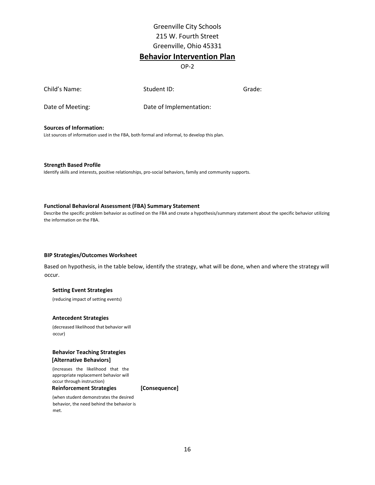#### **Behavior Intervention Plan**

OP-2

| Child's Name:    | Student ID:             | Grade: |
|------------------|-------------------------|--------|
| Date of Meeting: | Date of Implementation: |        |

**Sources of Information:** 

List sources of information used in the FBA, both formal and informal, to develop this plan.

**Strength Based Profile**  Identify skills and interests, positive relationships, pro-social behaviors, family and community supports.

#### **Functional Behavioral Assessment (FBA) Summary Statement**

Describe the specific problem behavior as outlined on the FBA and create a hypothesis/summary statement about the specific behavior utilizing the information on the FBA.

#### **BIP Strategies/Outcomes Worksheet**

Based on hypothesis, in the table below, identify the strategy, what will be done, when and where the strategy will occur.

#### **Setting Event Strategies**

(reducing impact of setting events)

#### **Antecedent Strategies**

(decreased likelihood that behavior will occur)

#### **Behavior Teaching Strategies [Alternative Behaviors]**

(increases the likelihood that the appropriate replacement behavior will occur through instruction)

**Reinforcement Strategies [Consequence]** 

(when student demonstrates the desired behavior, the need behind the behavior is met.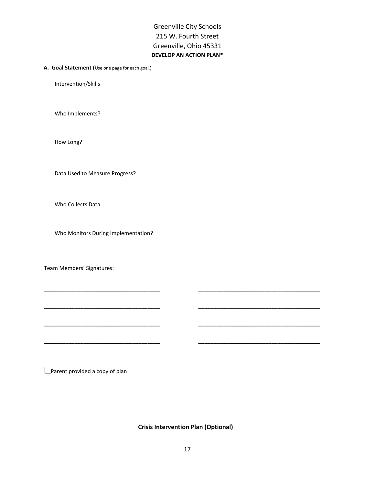Greenville City Schools 215 W. Fourth Street Greenville, Ohio 45331 **DEVELOP AN ACTION PLAN\*** 

#### **A. Goal Statement (**Use one page for each goal.)

Intervention/Skills

Who Implements?

How Long?

Data Used to Measure Progress?

Who Collects Data

Who Monitors During Implementation?

Team Members' Signatures:

**Parent provided a copy of plan** 

 **Crisis Intervention Plan (Optional)** 

**\_\_\_\_\_\_\_\_\_\_\_\_\_\_\_\_\_\_\_\_\_\_\_\_\_\_\_\_\_\_\_\_\_\_\_\_\_\_ \_\_\_\_\_\_\_\_\_\_\_\_\_\_\_\_\_\_\_\_\_\_\_\_\_\_\_\_\_\_\_\_\_\_\_\_\_\_\_\_** 

**\_\_\_\_\_\_\_\_\_\_\_\_\_\_\_\_\_\_\_\_\_\_\_\_\_\_\_\_\_\_\_\_\_\_\_\_\_\_ \_\_\_\_\_\_\_\_\_\_\_\_\_\_\_\_\_\_\_\_\_\_\_\_\_\_\_\_\_\_\_\_\_\_\_\_\_\_\_\_** 

**\_\_\_\_\_\_\_\_\_\_\_\_\_\_\_\_\_\_\_\_\_\_\_\_\_\_\_\_\_\_\_\_\_\_\_\_\_\_ \_\_\_\_\_\_\_\_\_\_\_\_\_\_\_\_\_\_\_\_\_\_\_\_\_\_\_\_\_\_\_\_\_\_\_\_\_\_\_\_** 

**\_\_\_\_\_\_\_\_\_\_\_\_\_\_\_\_\_\_\_\_\_\_\_\_\_\_\_\_\_\_\_\_\_\_\_\_\_\_ \_\_\_\_\_\_\_\_\_\_\_\_\_\_\_\_\_\_\_\_\_\_\_\_\_\_\_\_\_\_\_\_\_\_\_\_\_\_\_\_**